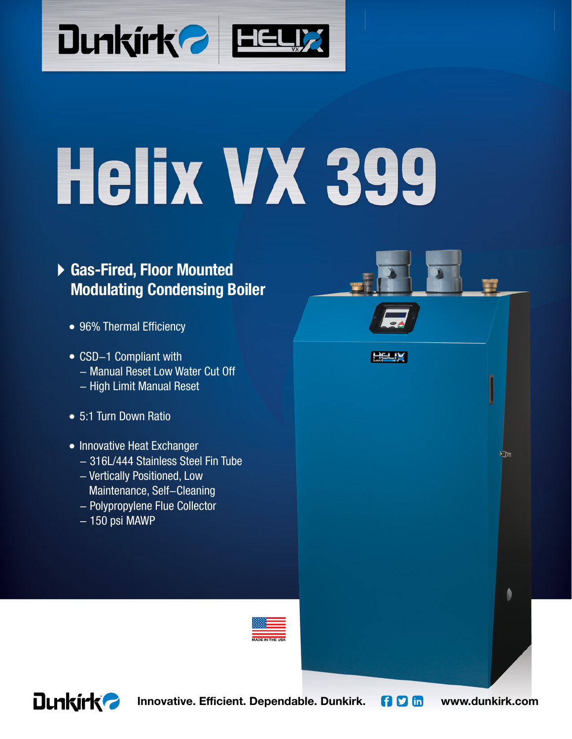

# Helix VX 399

# **Gas-Fired, Floor Mounted Modulating Condensing Boiler**

- 96% Thermal Efficiency •
- CSD-1 Compliant with - Manual Reset Low Water Cut Off - High Limit Manual Reset
- 5:1 Turn Down Ratio •
- Innovative Heat Exchanger
	- 316L/444 Stainless Steel Fin Tube
	- Vertically Positioned, Low Maintenance, Self-Cleaning
	- Polypropylene Flue Collector
	- $150$  psi MAWP





**Innovative. Efficient. Dependable. Dunkirk. [1 D in** www.dunkirk.com

**Film** 

HELIX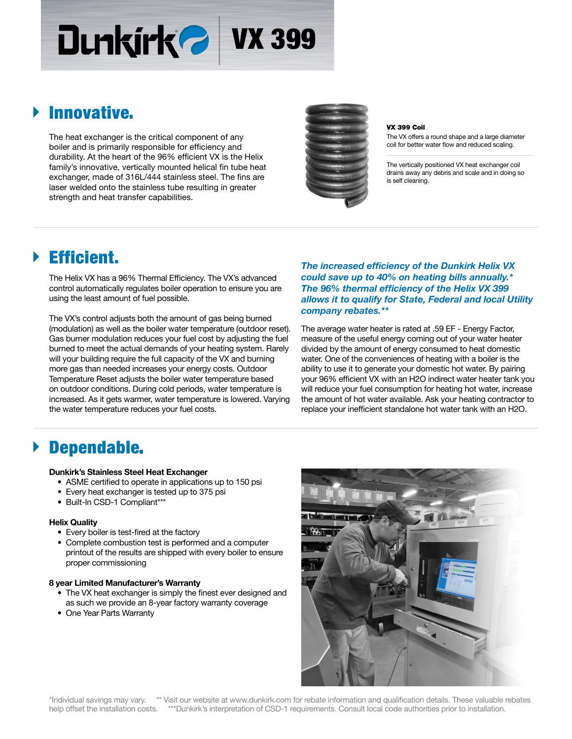# Dunkirk<sup>2</sup> VX 399

# Innovative.

The heat exchanger is the critical component of any boiler and is primarily responsible for efficiency and durability. At the heart of the 96% efficient VX is the Helix family's innovative, vertically mounted helical fin tube heat exchanger, made of 316L/444 stainless steel. The fins are laser welded onto the stainless tube resulting in greater strength and heat transfer capabilities.



#### VX 399 Coil

The VX offers a round shape and a large diameter coil for better water flow and reduced scaling.

The vertically positioned VX heat exchanger coil drains away any debris and scale and in doing so is self cleaning.

# Efficient.

The Helix VX has a 96% Thermal Efficiency. The VX's advanced control automatically regulates boiler operation to ensure you are using the least amount of fuel possible.

The VX's control adjusts both the amount of gas being burned (modulation) as well as the boiler water temperature (outdoor reset). Gas burner modulation reduces your fuel cost by adjusting the fuel burned to meet the actual demands of your heating system. Rarely will your building require the full capacity of the VX and burning more gas than needed increases your energy costs. Outdoor Temperature Reset adjusts the boiler water temperature based on outdoor conditions. During cold periods, water temperature is increased. As it gets warmer, water temperature is lowered. Varying the water temperature reduces your fuel costs.

**The increased efficiency of the Dunkirk Helix VX** *could save up to 40% on heating bills annually.\** The 96% thermal efficiency of the Helix VX 399 *allows it to qualify for State, Federal and local Utility company rebates.\*\**

The average water heater is rated at .59 EF - Energy Factor, measure of the useful energy coming out of your water heater divided by the amount of energy consumed to heat domestic water. One of the conveniences of heating with a boiler is the ability to use it to generate your domestic hot water. By pairing your 96% efficient VX with an H2O indirect water heater tank you will reduce your fuel consumption for heating hot water, increase the amount of hot water available. Ask your heating contractor to replace your inefficient standalone hot water tank with an H2O.

# Dependable.

#### **Dunkirk's Stainless Steel Heat Exchanger**

- ASME certified to operate in applications up to 150 psi
- Every heat exchanger is tested up to 375 psi
- Built-In CSD-1 Compliant\*\*\*

#### **Helix Quality**

- Every boiler is test-fired at the factory
- Complete combustion test is performed and a computer printout of the results are shipped with every boiler to ensure proper commissioning

#### **8 year Limited Manufacturer's Warranty**

- The VX heat exchanger is simply the finest ever designed and as such we provide an 8-year factory warranty coverage
- One Year Parts Warranty



\*Individual savings may vary. \*\* Visit our website at www.dunkirk.com for rebate information and qualification details. These valuable rebates help offset the installation costs. \*\*\*Dunkirk's interpretation of CSD-1 requirements. Consult local code authorities prior to installation.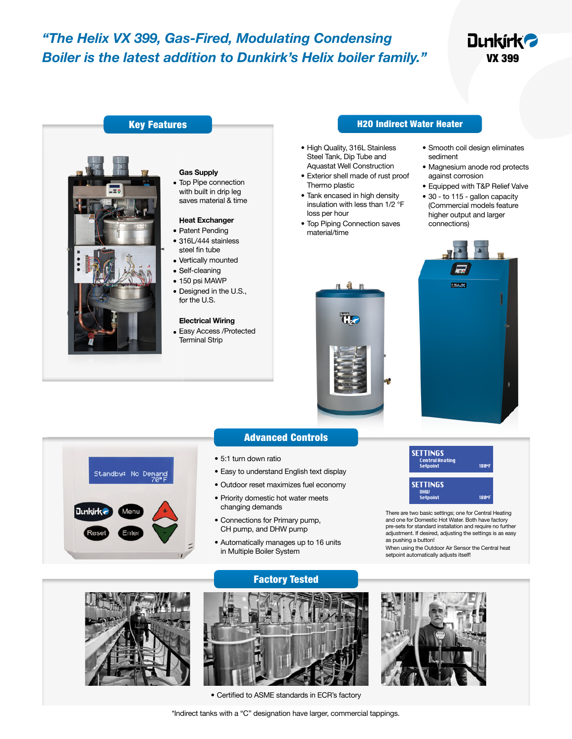## *"The Helix VX 399, Gas-Fired, Modulating Condensing Boiler is the latest addition to Dunkirk's Helix boiler family."*

# **Dunkirk<sup>2</sup>** VX 399



#### H2O Indirect Water Heater

- High Quality, 316L Stainless Steel Tank, Dip Tube and Aquastat Well Construction
- Exterior shell made of rust proof Thermo plastic
- Tank encased in high density insulation with less than 1/2 °F loss per hour
- Top Piping Connection saves material/time

 $\frac{1}{2}$ 

TI.

• Magnesium anode rod protects against corrosion • Equipped with T&P Relief Valve • 30 - to 115 - gallon capacity

• Smooth coil design eliminates

sediment

(Commercial models feature higher output and larger connections)





#### Advanced Controls

- 5:1 turn down ratio
- Easy to understand English text display
- Outdoor reset maximizes fuel economy
- Priority domestic hot water meets changing demands
- Connections for Primary pump, CH pump, and DHW pump
- Automatically manages up to 16 units in Multiple Boiler System



There are two basic settings; one for Central Heating and one for Domestic Hot Water. Both have factory pre-sets for standard installation and require no further adjustment. If desired, adjusting the settings is as easy as pushing a button!

When using the Outdoor Air Sensor the Central heat setpoint automatically adjusts itself!





Factory Tested

• Certified to ASME standards in ECR's factory



\*Indirect tanks with a "C" designation have larger, commercial tappings.